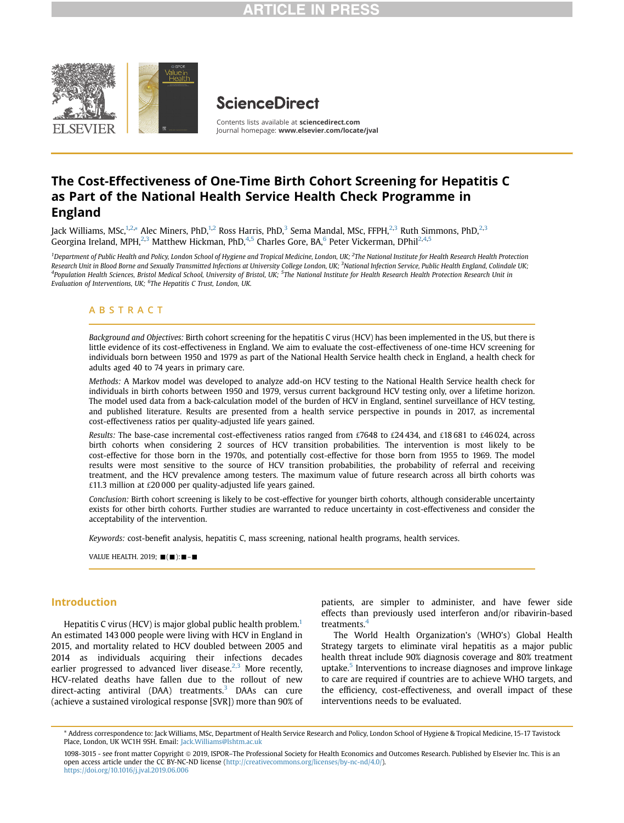

# **ScienceDirect**

Contents lists available at [sciencedirect.com](www.sciencedirect.com) Journal homepage: <www.elsevier.com/locate/jval>

# The Cost-Effectiveness of One-Time Birth Cohort Screening for Hepatitis C as Part of the National Health Service Health Check Programme in England

Jack Williams, MSc,<sup>1,2,</sup>\* Alec Miners, PhD,<sup>1,2</sup> Ross Harris, PhD,<sup>3</sup> Sema Mandal, MSc, FFPH,<sup>2,3</sup> Ruth Simmons, PhD,<sup>2,3</sup> Georgina Ireland, MPH,<sup>2,3</sup> Matthew Hickman, PhD,<sup>4,5</sup> Charles Gore, BA,<sup>6</sup> Peter Vickerman, DPhil<sup>2,4,5</sup>

<sup>1</sup>Department of Public Health and Policy, London School of Hygiene and Tropical Medicine, London, UK; <sup>2</sup>The National Institute for Health Research Health Protection Research Unit in Blood Borne and Sexually Transmitted Infections at University College London, UK; <sup>3</sup>National Infection Service, Public Health England, Colindale UK; <sup>4</sup>Population Health Sciences, Bristol Medical School, University of Bristol, UK; <sup>5</sup>The National Institute for Health Research Health Protection Research Unit in Evaluation of Interventions, UK; <sup>6</sup>The Hepatitis C Trust, London, UK.

# ABSTRACT

Background and Objectives: Birth cohort screening for the hepatitis C virus (HCV) has been implemented in the US, but there is little evidence of its cost-effectiveness in England. We aim to evaluate the cost-effectiveness of one-time HCV screening for individuals born between 1950 and 1979 as part of the National Health Service health check in England, a health check for adults aged 40 to 74 years in primary care.

Methods: A Markov model was developed to analyze add-on HCV testing to the National Health Service health check for individuals in birth cohorts between 1950 and 1979, versus current background HCV testing only, over a lifetime horizon. The model used data from a back-calculation model of the burden of HCV in England, sentinel surveillance of HCV testing, and published literature. Results are presented from a health service perspective in pounds in 2017, as incremental cost-effectiveness ratios per quality-adjusted life years gained.

Results: The base-case incremental cost-effectiveness ratios ranged from £7648 to £24 434, and £18 681 to £46 024, across birth cohorts when considering 2 sources of HCV transition probabilities. The intervention is most likely to be cost-effective for those born in the 1970s, and potentially cost-effective for those born from 1955 to 1969. The model results were most sensitive to the source of HCV transition probabilities, the probability of referral and receiving treatment, and the HCV prevalence among testers. The maximum value of future research across all birth cohorts was £11.3 million at £20 000 per quality-adjusted life years gained.

Conclusion: Birth cohort screening is likely to be cost-effective for younger birth cohorts, although considerable uncertainty exists for other birth cohorts. Further studies are warranted to reduce uncertainty in cost-effectiveness and consider the acceptability of the intervention.

Keywords: cost-benefit analysis, hepatitis C, mass screening, national health programs, health services.

VALUE HEALTH, 2019;  $($  $($  $)$ : $)$  $-$ 

# Introduction

Hepatitis C virus (HCV) is major global public health problem.<sup>[1](#page-7-0)</sup> An estimated 143 000 people were living with HCV in England in 2015, and mortality related to HCV doubled between 2005 and 2014 as individuals acquiring their infections decades earlier progressed to advanced liver disease.<sup>[2,3](#page-7-0)</sup> More recently, HCV-related deaths have fallen due to the rollout of new  $direct-acting$  antiviral (DAA) treatments.<sup>[3](#page-7-0)</sup> DAAs can cure (achieve a sustained virological response [SVR]) more than 90% of

patients, are simpler to administer, and have fewer side effects than previously used interferon and/or ribavirin-based treatments.[4](#page-7-0)

The World Health Organization's (WHO's) Global Health Strategy targets to eliminate viral hepatitis as a major public health threat include 90% diagnosis coverage and 80% treatment uptake.[5](#page-7-0) Interventions to increase diagnoses and improve linkage to care are required if countries are to achieve WHO targets, and the efficiency, cost-effectiveness, and overall impact of these interventions needs to be evaluated.

<sup>\*</sup> Address correspondence to: Jack Williams, MSc, Department of Health Service Research and Policy, London School of Hygiene & Tropical Medicine, 15-17 Tavistock Place, London, UK WC1H 9SH. Email: [Jack.Williams@lshtm.ac.uk](mailto:Jack.Williams@lshtm.ac.uk)

<sup>1098-3015 -</sup> see front matter Copyright @ 2019, ISPOR-The Professional Society for Health Economics and Outcomes Research. Published by Elsevier Inc. This is an open access article under the CC BY-NC-ND license [\(http://creativecommons.org/licenses/by-nc-nd/4.0/\)](http://creativecommons.org/licenses/by-nc-nd/4.0/). <https://doi.org/10.1016/j.jval.2019.06.006>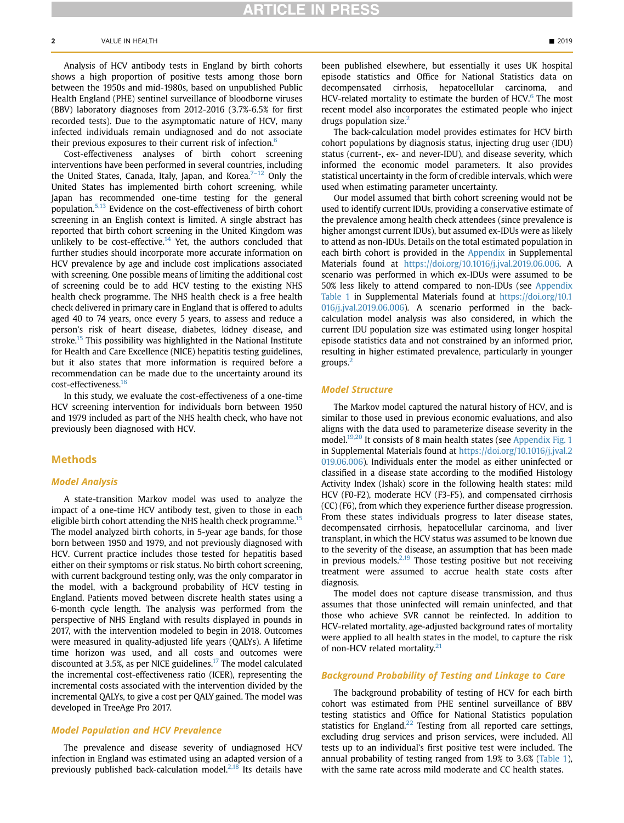Analysis of HCV antibody tests in England by birth cohorts shows a high proportion of positive tests among those born between the 1950s and mid-1980s, based on unpublished Public Health England (PHE) sentinel surveillance of bloodborne viruses (BBV) laboratory diagnoses from 2012-2016 (3.7%-6.5% for first recorded tests). Due to the asymptomatic nature of HCV, many infected individuals remain undiagnosed and do not associate their previous exposures to their current risk of infection.<sup>[6](#page-7-0)</sup>

Cost-effectiveness analyses of birth cohort screening interventions have been performed in several countries, including the United States, Canada, Italy, Japan, and Korea. $7-12$  $7-12$  Only the United States has implemented birth cohort screening, while Japan has recommended one-time testing for the general population.<sup>5,13</sup> Evidence on the cost-effectiveness of birth cohort screening in an English context is limited. A single abstract has reported that birth cohort screening in the United Kingdom was unlikely to be cost-effective. $14$  Yet, the authors concluded that further studies should incorporate more accurate information on HCV prevalence by age and include cost implications associated with screening. One possible means of limiting the additional cost of screening could be to add HCV testing to the existing NHS health check programme. The NHS health check is a free health check delivered in primary care in England that is offered to adults aged 40 to 74 years, once every 5 years, to assess and reduce a person's risk of heart disease, diabetes, kidney disease, and stroke.<sup>15</sup> This possibility was highlighted in the National Institute for Health and Care Excellence (NICE) hepatitis testing guidelines, but it also states that more information is required before a recommendation can be made due to the uncertainty around its cost-effectiveness[.16](#page-7-0)

In this study, we evaluate the cost-effectiveness of a one-time HCV screening intervention for individuals born between 1950 and 1979 included as part of the NHS health check, who have not previously been diagnosed with HCV.

#### Methods

#### Model Analysis

A state-transition Markov model was used to analyze the impact of a one-time HCV antibody test, given to those in each eligible birth cohort attending the NHS health check programme.<sup>[15](#page-7-0)</sup> The model analyzed birth cohorts, in 5-year age bands, for those born between 1950 and 1979, and not previously diagnosed with HCV. Current practice includes those tested for hepatitis based either on their symptoms or risk status. No birth cohort screening, with current background testing only, was the only comparator in the model, with a background probability of HCV testing in England. Patients moved between discrete health states using a 6-month cycle length. The analysis was performed from the perspective of NHS England with results displayed in pounds in 2017, with the intervention modeled to begin in 2018. Outcomes were measured in quality-adjusted life years (QALYs). A lifetime time horizon was used, and all costs and outcomes were discounted at 3.5%, as per NICE guidelines.[17](#page-7-0) The model calculated the incremental cost-effectiveness ratio (ICER), representing the incremental costs associated with the intervention divided by the incremental QALYs, to give a cost per QALY gained. The model was developed in TreeAge Pro 2017.

### Model Population and HCV Prevalence

The prevalence and disease severity of undiagnosed HCV infection in England was estimated using an adapted version of a previously published back-calculation model. $2,18$  Its details have

been published elsewhere, but essentially it uses UK hospital episode statistics and Office for National Statistics data on decompensated cirrhosis, hepatocellular carcinoma, and HCV-related mortality to estimate the burden of HCV. $<sup>6</sup>$  $<sup>6</sup>$  $<sup>6</sup>$  The most</sup> recent model also incorporates the estimated people who inject drugs population size. $<sup>2</sup>$  $<sup>2</sup>$  $<sup>2</sup>$ </sup>

The back-calculation model provides estimates for HCV birth cohort populations by diagnosis status, injecting drug user (IDU) status (current-, ex- and never-IDU), and disease severity, which informed the economic model parameters. It also provides statistical uncertainty in the form of credible intervals, which were used when estimating parameter uncertainty.

Our model assumed that birth cohort screening would not be used to identify current IDUs, providing a conservative estimate of the prevalence among health check attendees (since prevalence is higher amongst current IDUs), but assumed ex-IDUs were as likely to attend as non-IDUs. Details on the total estimated population in each birth cohort is provided in the Appendix in Supplemental Materials found at <https://doi.org/10.1016/j.jval.2019.06.006>. A scenario was performed in which ex-IDUs were assumed to be 50% less likely to attend compared to non-IDUs (see Appendix Table 1 in Supplemental Materials found at [https://doi.org/10.1](https://doi.org/10.1016/j.jval.2019.06.006) [016/j.jval.2019.06.006\)](https://doi.org/10.1016/j.jval.2019.06.006). A scenario performed in the backcalculation model analysis was also considered, in which the current IDU population size was estimated using longer hospital episode statistics data and not constrained by an informed prior, resulting in higher estimated prevalence, particularly in younger groups.<sup>[2](#page-7-0)</sup>

## Model Structure

The Markov model captured the natural history of HCV, and is similar to those used in previous economic evaluations, and also aligns with the data used to parameterize disease severity in the model.<sup>[19,20](#page-7-0)</sup> It consists of 8 main health states (see Appendix Fig. 1 in Supplemental Materials found at [https://doi.org/10.1016/j.jval.2](https://doi.org/10.1016/j.jval.2019.06.006) [019.06.006\)](https://doi.org/10.1016/j.jval.2019.06.006). Individuals enter the model as either uninfected or classified in a disease state according to the modified Histology Activity Index (Ishak) score in the following health states: mild HCV (F0-F2), moderate HCV (F3-F5), and compensated cirrhosis (CC) (F6), from which they experience further disease progression. From these states individuals progress to later disease states, decompensated cirrhosis, hepatocellular carcinoma, and liver transplant, in which the HCV status was assumed to be known due to the severity of the disease, an assumption that has been made in previous models. $2,19$  Those testing positive but not receiving treatment were assumed to accrue health state costs after diagnosis.

The model does not capture disease transmission, and thus assumes that those uninfected will remain uninfected, and that those who achieve SVR cannot be reinfected. In addition to HCV-related mortality, age-adjusted background rates of mortality were applied to all health states in the model, to capture the risk of non-HCV related mortality. $21$ 

# Background Probability of Testing and Linkage to Care

The background probability of testing of HCV for each birth cohort was estimated from PHE sentinel surveillance of BBV testing statistics and Office for National Statistics population statistics for England. $22$  Testing from all reported care settings, excluding drug services and prison services, were included. All tests up to an individual's first positive test were included. The annual probability of testing ranged from 1.9% to 3.6% ([Table 1](#page-2-0)), with the same rate across mild moderate and CC health states.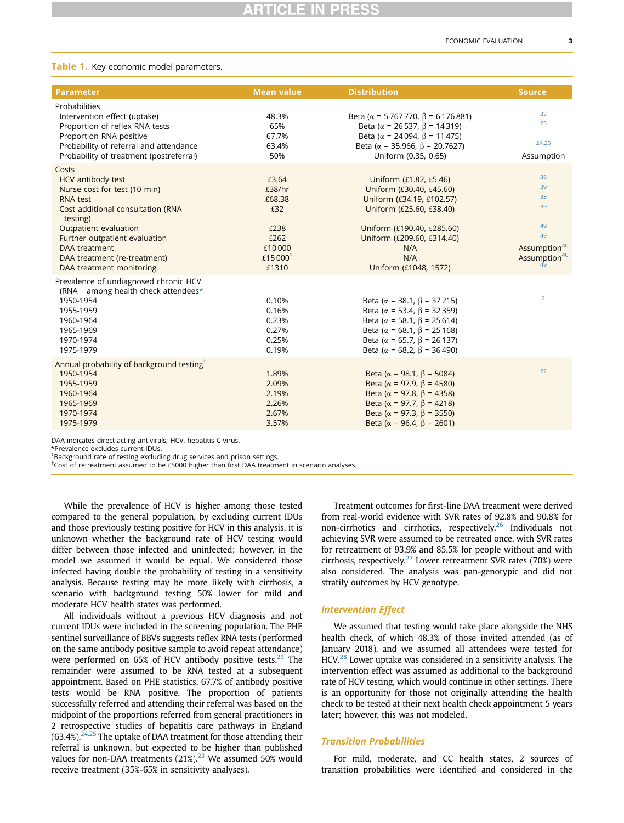#### <span id="page-2-0"></span>Table 1. Key economic model parameters.

| <b>Parameter</b>                                                                                                                                                                                                                                               | <b>Mean value</b>                                                                          | <b>Distribution</b>                                                                                                                                                                                                                                                        | <b>Source</b>                                                                            |
|----------------------------------------------------------------------------------------------------------------------------------------------------------------------------------------------------------------------------------------------------------------|--------------------------------------------------------------------------------------------|----------------------------------------------------------------------------------------------------------------------------------------------------------------------------------------------------------------------------------------------------------------------------|------------------------------------------------------------------------------------------|
| Probabilities<br>Intervention effect (uptake)<br>Proportion of reflex RNA tests<br>Proportion RNA positive<br>Probability of referral and attendance<br>Probability of treatment (postreferral)                                                                | 48.3%<br>65%<br>67.7%<br>63.4%<br>50%                                                      | Beta ( $\alpha$ = 5767770, $\beta$ = 6176881)<br>Beta ( $\alpha$ = 26 537, $\beta$ = 14 319)<br>Beta ( $\alpha$ = 24 094, $\beta$ = 11 475)<br>Beta ( $\alpha$ = 35.966, $\beta$ = 20.7627)<br>Uniform (0.35, 0.65)                                                        | 28<br>23<br>24,25<br>Assumption                                                          |
| Costs<br>HCV antibody test<br>Nurse cost for test (10 min)<br>RNA test<br>Cost additional consultation (RNA<br>testing)<br>Outpatient evaluation<br>Further outpatient evaluation<br>DAA treatment<br>DAA treatment (re-treatment)<br>DAA treatment monitoring | £3.64<br>£38/hr<br>£68.38<br>£32<br>£238<br>£262<br>£10000<br>£15000 <sup>‡</sup><br>£1310 | Uniform (£1.82, £5.46)<br>Uniform (£30.40, £45.60)<br>Uniform (£34.19, £102.57)<br>Uniform (£25.60, £38.40)<br>Uniform (£190.40, £285.60)<br>Uniform (£209.60, £314.40)<br>N/A<br>N/A<br>Uniform (£1048, 1572)                                                             | 38<br>39<br>38<br>39<br>49<br>49<br>Assumption <sup>40</sup><br>Assumption <sup>40</sup> |
| Prevalence of undiagnosed chronic HCV<br>(RNA+ among health check attendees*<br>1950-1954<br>1955-1959<br>1960-1964<br>1965-1969<br>1970-1974<br>1975-1979                                                                                                     | 0.10%<br>0.16%<br>0.23%<br>0.27%<br>0.25%<br>0.19%                                         | Beta ( $\alpha$ = 38.1, $\beta$ = 37 215)<br>Beta ( $\alpha$ = 53.4, $\beta$ = 32 359)<br>Beta ( $\alpha$ = 58.1, $\beta$ = 25 614)<br>Beta ( $\alpha$ = 68.1, $\beta$ = 25 168)<br>Beta ( $\alpha$ = 65.7, $\beta$ = 26 137)<br>Beta ( $\alpha$ = 68.2, $\beta$ = 36 490) | $\overline{2}$                                                                           |
| Annual probability of background testing <sup>†</sup><br>1950-1954<br>1955-1959<br>1960-1964<br>1965-1969<br>1970-1974<br>1975-1979                                                                                                                            | 1.89%<br>2.09%<br>2.19%<br>2.26%<br>2.67%<br>3.57%                                         | Beta ( $\alpha$ = 98.1, $\beta$ = 5084)<br>Beta ( $\alpha$ = 97.9, $\beta$ = 4580)<br>Beta ( $\alpha$ = 97.8, $\beta$ = 4358)<br>Beta ( $\alpha$ = 97.7, $\beta$ = 4218)<br>Beta ( $\alpha$ = 97.3, $\beta$ = 3550)<br>Beta ( $\alpha$ = 96.4, $\beta$ = 2601)             | 22                                                                                       |

DAA indicates direct-acting antivirals; HCV, hepatitis C virus.

\*Prevalence excludes current-IDUs.

† Background rate of testing excluding drug services and prison settings.

‡ Cost of retreatment assumed to be £5000 higher than first DAA treatment in scenario analyses.

While the prevalence of HCV is higher among those tested compared to the general population, by excluding current IDUs and those previously testing positive for HCV in this analysis, it is unknown whether the background rate of HCV testing would differ between those infected and uninfected; however, in the model we assumed it would be equal. We considered those infected having double the probability of testing in a sensitivity analysis. Because testing may be more likely with cirrhosis, a scenario with background testing 50% lower for mild and moderate HCV health states was performed.

All individuals without a previous HCV diagnosis and not current IDUs were included in the screening population. The PHE sentinel surveillance of BBVs suggests reflex RNA tests (performed on the same antibody positive sample to avoid repeat attendance) were performed on  $65\%$  of HCV antibody positive tests.<sup>[23](#page-7-0)</sup> The remainder were assumed to be RNA tested at a subsequent appointment. Based on PHE statistics, 67.7% of antibody positive tests would be RNA positive. The proportion of patients successfully referred and attending their referral was based on the midpoint of the proportions referred from general practitioners in 2 retrospective studies of hepatitis care pathways in England  $(63.4\%)^{24,25}$  $(63.4\%)^{24,25}$  $(63.4\%)^{24,25}$  The uptake of DAA treatment for those attending their referral is unknown, but expected to be higher than published values for non-DAA treatments  $(21\%)^{23}$  We assumed 50% would receive treatment (35%-65% in sensitivity analyses).

Treatment outcomes for first-line DAA treatment were derived from real-world evidence with SVR rates of 92.8% and 90.8% for non-cirrhotics and cirrhotics, respectively[.26](#page-7-0) Individuals not achieving SVR were assumed to be retreated once, with SVR rates for retreatment of 93.9% and 85.5% for people without and with cirrhosis, respectively.<sup>[27](#page-7-0)</sup> Lower retreatment SVR rates (70%) were also considered. The analysis was pan-genotypic and did not stratify outcomes by HCV genotype.

#### Intervention Effect

We assumed that testing would take place alongside the NHS health check, of which 48.3% of those invited attended (as of January 2018), and we assumed all attendees were tested for HCV.[28](#page-7-0) Lower uptake was considered in a sensitivity analysis. The intervention effect was assumed as additional to the background rate of HCV testing, which would continue in other settings. There is an opportunity for those not originally attending the health check to be tested at their next health check appointment 5 years later; however, this was not modeled.

### Transition Probabilities

For mild, moderate, and CC health states, 2 sources of transition probabilities were identified and considered in the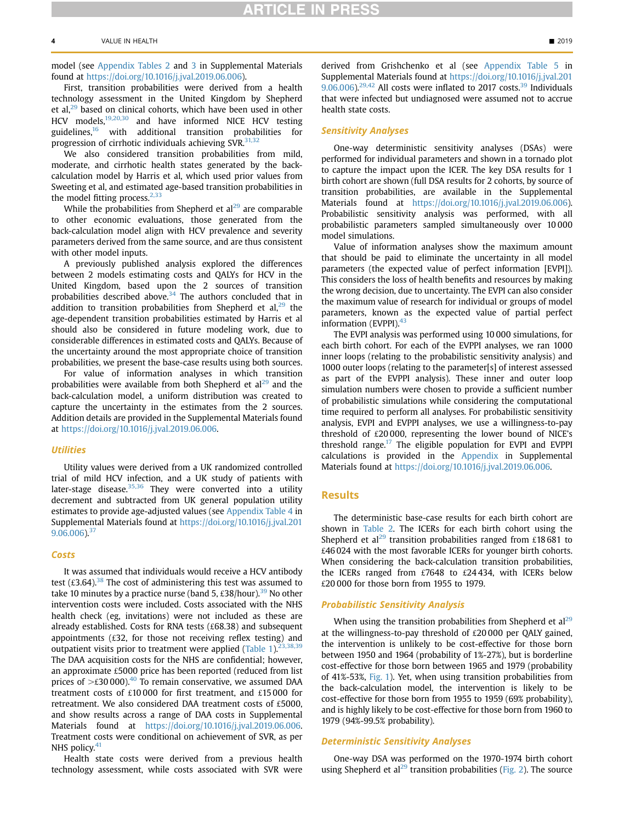model (see Appendix Tables 2 and 3 in Supplemental Materials found at <https://doi.org/10.1016/j.jval.2019.06.006>).

First, transition probabilities were derived from a health technology assessment in the United Kingdom by Shepherd et al, $^{29}$  based on clinical cohorts, which have been used in other HCV models,<sup>19,20,30</sup> and have informed NICE HCV testing guidelines, $16$  with additional transition probabilities for progression of cirrhotic individuals achieving SVR.<sup>[31,32](#page-7-0)</sup>

We also considered transition probabilities from mild, moderate, and cirrhotic health states generated by the backcalculation model by Harris et al, which used prior values from Sweeting et al, and estimated age-based transition probabilities in the model fitting process. $2,33$ 

While the probabilities from Shepherd et  $al^{29}$  $al^{29}$  $al^{29}$  are comparable to other economic evaluations, those generated from the back-calculation model align with HCV prevalence and severity parameters derived from the same source, and are thus consistent with other model inputs.

A previously published analysis explored the differences between 2 models estimating costs and QALYs for HCV in the United Kingdom, based upon the 2 sources of transition probabilities described above.<sup>[34](#page-8-0)</sup> The authors concluded that in addition to transition probabilities from Shepherd et al, $^{29}$  $^{29}$  $^{29}$  the age-dependent transition probabilities estimated by Harris et al should also be considered in future modeling work, due to considerable differences in estimated costs and QALYs. Because of the uncertainty around the most appropriate choice of transition probabilities, we present the base-case results using both sources.

For value of information analyses in which transition probabilities were available from both Shepherd et  $al^{29}$  $al^{29}$  $al^{29}$  and the back-calculation model, a uniform distribution was created to capture the uncertainty in the estimates from the 2 sources. Addition details are provided in the Supplemental Materials found at <https://doi.org/10.1016/j.jval.2019.06.006>.

#### **Utilities**

Utility values were derived from a UK randomized controlled trial of mild HCV infection, and a UK study of patients with later-stage disease. $35,36$  They were converted into a utility decrement and subtracted from UK general population utility estimates to provide age-adjusted values (see Appendix Table 4 in Supplemental Materials found at [https://doi.org/10.1016/j.jval.201](https://doi.org/10.1016/j.jval.2019.06.006)  $9.06.006$ <sup>[37](#page-8-0)</sup>

#### **Costs**

It was assumed that individuals would receive a HCV antibody test (£3.64).<sup>[38](#page-8-0)</sup> The cost of administering this test was assumed to take 10 minutes by a practice nurse (band 5, £38/hour).<sup>39</sup> No other intervention costs were included. Costs associated with the NHS health check (eg, invitations) were not included as these are already established. Costs for RNA tests (£68.38) and subsequent appointments ( $£32$ , for those not receiving reflex testing) and outpatient visits prior to treatment were applied  $(Table 1)^{23,38,39}$  $(Table 1)^{23,38,39}$  $(Table 1)^{23,38,39}$  $(Table 1)^{23,38,39}$  $(Table 1)^{23,38,39}$ The DAA acquisition costs for the NHS are confidential; however, an approximate £5000 price has been reported (reduced from list prices of  $>130,000$ .<sup>40</sup> To remain conservative, we assumed DAA treatment costs of £10 000 for first treatment, and £15 000 for retreatment. We also considered DAA treatment costs of £5000, and show results across a range of DAA costs in Supplemental Materials found at <https://doi.org/10.1016/j.jval.2019.06.006>. Treatment costs were conditional on achievement of SVR, as per NHS policy. $41$ 

Health state costs were derived from a previous health technology assessment, while costs associated with SVR were derived from Grishchenko et al (see Appendix Table 5 in Supplemental Materials found at [https://doi.org/10.1016/j.jval.201](https://doi.org/10.1016/j.jval.2019.06.006) [9.06.006](https://doi.org/10.1016/j.jval.2019.06.006)).<sup>[29,42](#page-7-0)</sup> All costs were inflated to 2017 costs.<sup>39</sup> Individuals that were infected but undiagnosed were assumed not to accrue health state costs.

#### Sensitivity Analyses

One-way deterministic sensitivity analyses (DSAs) were performed for individual parameters and shown in a tornado plot to capture the impact upon the ICER. The key DSA results for 1 birth cohort are shown (full DSA results for 2 cohorts, by source of transition probabilities, are available in the Supplemental Materials found at <https://doi.org/10.1016/j.jval.2019.06.006>). Probabilistic sensitivity analysis was performed, with all probabilistic parameters sampled simultaneously over 10 000 model simulations.

Value of information analyses show the maximum amount that should be paid to eliminate the uncertainty in all model parameters (the expected value of perfect information [EVPI]). This considers the loss of health benefits and resources by making the wrong decision, due to uncertainty. The EVPI can also consider the maximum value of research for individual or groups of model parameters, known as the expected value of partial perfect information (EVPPI). $43$ 

The EVPI analysis was performed using 10 000 simulations, for each birth cohort. For each of the EVPPI analyses, we ran 1000 inner loops (relating to the probabilistic sensitivity analysis) and 1000 outer loops (relating to the parameter[s] of interest assessed as part of the EVPPI analysis). These inner and outer loop simulation numbers were chosen to provide a sufficient number of probabilistic simulations while considering the computational time required to perform all analyses. For probabilistic sensitivity analysis, EVPI and EVPPI analyses, we use a willingness-to-pay threshold of £20 000, representing the lower bound of NICE's threshold range[.17](#page-7-0) The eligible population for EVPI and EVPPI calculations is provided in the Appendix in Supplemental Materials found at [https://doi.org/10.1016/j.jval.2019.06.006.](https://doi.org/10.1016/j.jval.2019.06.006)

#### **Results**

The deterministic base-case results for each birth cohort are shown in [Table 2](#page-4-0). The ICERs for each birth cohort using the Shepherd et al<sup>[29](#page-7-0)</sup> transition probabilities ranged from £18681 to £46 024 with the most favorable ICERs for younger birth cohorts. When considering the back-calculation transition probabilities, the ICERs ranged from  $£7648$  to  $£24434$ , with ICERs below £20 000 for those born from 1955 to 1979.

# Probabilistic Sensitivity Analysis

When using the transition probabilities from Shepherd et  $al<sup>29</sup>$ at the willingness-to-pay threshold of £20 000 per QALY gained, the intervention is unlikely to be cost-effective for those born between 1950 and 1964 (probability of 1%-27%), but is borderline cost-effective for those born between 1965 and 1979 (probability of 41%-53%, [Fig. 1\)](#page-5-0). Yet, when using transition probabilities from the back-calculation model, the intervention is likely to be cost-effective for those born from 1955 to 1959 (69% probability), and is highly likely to be cost-effective for those born from 1960 to 1979 (94%-99.5% probability).

#### Deterministic Sensitivity Analyses

One-way DSA was performed on the 1970-1974 birth cohort using Shepherd et al<sup>29</sup> transition probabilities ([Fig. 2](#page-6-0)). The source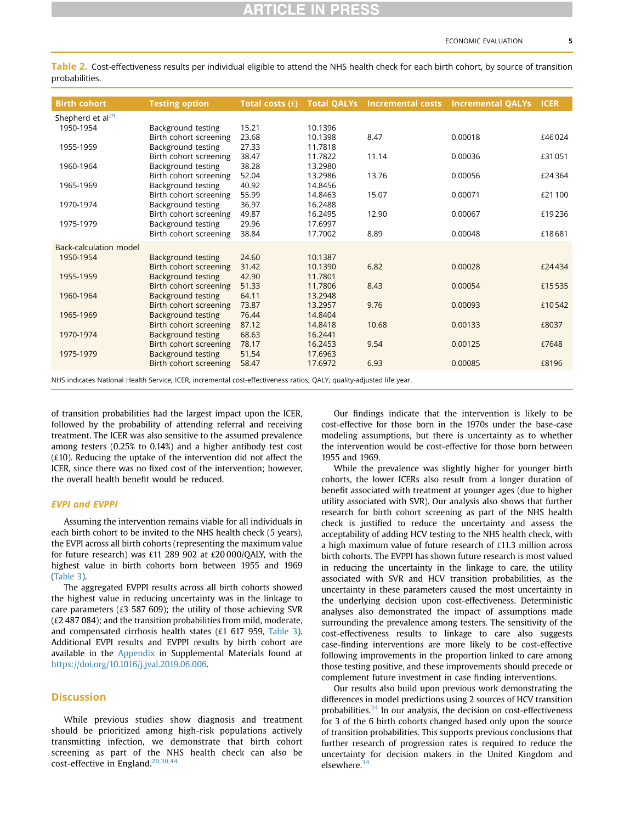<span id="page-4-0"></span>

| <b>Birth cohort</b>                                                                                                   | <b>Testing option</b>     | Total costs $(f)$ |         | <b>Total QALYs</b> Incremental costs | <b>Incremental QALYs</b> | <b>ICER</b> |
|-----------------------------------------------------------------------------------------------------------------------|---------------------------|-------------------|---------|--------------------------------------|--------------------------|-------------|
| Shepherd et al <sup>29</sup>                                                                                          |                           |                   |         |                                      |                          |             |
| 1950-1954                                                                                                             | Background testing        | 15.21             | 10.1396 |                                      |                          |             |
|                                                                                                                       | Birth cohort screening    | 23.68             | 10.1398 | 8.47                                 | 0.00018                  | £46024      |
| 1955-1959                                                                                                             | Background testing        | 27.33             | 11.7818 |                                      |                          |             |
|                                                                                                                       | Birth cohort screening    | 38.47             | 11.7822 | 11.14                                | 0.00036                  | £31051      |
| 1960-1964                                                                                                             | Background testing        | 38.28             | 13.2980 |                                      |                          |             |
|                                                                                                                       | Birth cohort screening    | 52.04             | 13.2986 | 13.76                                | 0.00056                  | £24364      |
| 1965-1969                                                                                                             | Background testing        | 40.92             | 14.8456 |                                      |                          |             |
|                                                                                                                       | Birth cohort screening    | 55.99             | 14.8463 | 15.07                                | 0.00071                  | £21 100     |
| 1970-1974                                                                                                             | Background testing        | 36.97             | 16.2488 |                                      |                          |             |
|                                                                                                                       | Birth cohort screening    | 49.87             | 16.2495 | 12.90                                | 0.00067                  | £19236      |
| 1975-1979                                                                                                             | Background testing        | 29.96             | 17.6997 |                                      |                          |             |
|                                                                                                                       | Birth cohort screening    | 38.84             | 17.7002 | 8.89                                 | 0.00048                  | £18681      |
| Back-calculation model                                                                                                |                           |                   |         |                                      |                          |             |
| 1950-1954                                                                                                             | Background testing        | 24.60             | 10.1387 |                                      |                          |             |
|                                                                                                                       | Birth cohort screening    | 31.42             | 10.1390 | 6.82                                 | 0.00028                  | £24434      |
| 1955-1959                                                                                                             | <b>Background testing</b> | 42.90             | 11.7801 |                                      |                          |             |
|                                                                                                                       | Birth cohort screening    | 51.33             | 11.7806 | 8.43                                 | 0.00054                  | £15535      |
| 1960-1964                                                                                                             | <b>Background testing</b> | 64.11             | 13.2948 |                                      |                          |             |
|                                                                                                                       | Birth cohort screening    | 73.87             | 13.2957 | 9.76                                 | 0.00093                  | £10542      |
| 1965-1969                                                                                                             | <b>Background testing</b> | 76.44             | 14.8404 |                                      |                          |             |
|                                                                                                                       | Birth cohort screening    | 87.12             | 14.8418 | 10.68                                | 0.00133                  | £8037       |
| 1970-1974                                                                                                             | <b>Background testing</b> | 68.63             | 16.2441 |                                      |                          |             |
|                                                                                                                       | Birth cohort screening    | 78.17             | 16.2453 | 9.54                                 | 0.00125                  | £7648       |
| 1975-1979                                                                                                             | Background testing        | 51.54             | 17.6963 |                                      |                          |             |
|                                                                                                                       | Birth cohort screening    | 58.47             | 17.6972 | 6.93                                 | 0.00085                  | £8196       |
| NHS indicates National Health Service; ICER, incremental cost-effectiveness ratios; QALY, quality-adjusted life year. |                           |                   |         |                                      |                          |             |

of transition probabilities had the largest impact upon the ICER, followed by the probability of attending referral and receiving treatment. The ICER was also sensitive to the assumed prevalence among testers (0.25% to 0.14%) and a higher antibody test cost (£10). Reducing the uptake of the intervention did not affect the ICER, since there was no fixed cost of the intervention; however, the overall health benefit would be reduced.

#### EVPI and EVPPI

Assuming the intervention remains viable for all individuals in each birth cohort to be invited to the NHS health check (5 years), the EVPI across all birth cohorts (representing the maximum value for future research) was £11 289 902 at £20 000/QALY, with the highest value in birth cohorts born between 1955 and 1969 ([Table 3\)](#page-6-0).

The aggregated EVPPI results across all birth cohorts showed the highest value in reducing uncertainty was in the linkage to care parameters ( $\pounds$ 3 587 609); the utility of those achieving SVR  $(£2487084);$  and the transition probabilities from mild, moderate, and compensated cirrhosis health states (£1 617 959, [Table 3](#page-6-0)). Additional EVPI results and EVPPI results by birth cohort are available in the Appendix in Supplemental Materials found at [https://doi.org/10.1016/j.jval.2019.06.006.](https://doi.org/10.1016/j.jval.2019.06.006)

# **Discussion**

While previous studies show diagnosis and treatment should be prioritized among high-risk populations actively transmitting infection, we demonstrate that birth cohort screening as part of the NHS health check can also be cost-effective in England.<sup>[20,30,44](#page-7-0)</sup>

Our findings indicate that the intervention is likely to be cost-effective for those born in the 1970s under the base-case modeling assumptions, but there is uncertainty as to whether the intervention would be cost-effective for those born between 1955 and 1969.

While the prevalence was slightly higher for younger birth cohorts, the lower ICERs also result from a longer duration of benefit associated with treatment at younger ages (due to higher utility associated with SVR). Our analysis also shows that further research for birth cohort screening as part of the NHS health check is justified to reduce the uncertainty and assess the acceptability of adding HCV testing to the NHS health check, with a high maximum value of future research of £11.3 million across birth cohorts. The EVPPI has shown future research is most valued in reducing the uncertainty in the linkage to care, the utility associated with SVR and HCV transition probabilities, as the uncertainty in these parameters caused the most uncertainty in the underlying decision upon cost-effectiveness. Deterministic analyses also demonstrated the impact of assumptions made surrounding the prevalence among testers. The sensitivity of the cost-effectiveness results to linkage to care also suggests case-finding interventions are more likely to be cost-effective following improvements in the proportion linked to care among those testing positive, and these improvements should precede or complement future investment in case finding interventions.

Our results also build upon previous work demonstrating the differences in model predictions using 2 sources of HCV transition probabilities. $34$  In our analysis, the decision on cost-effectiveness for 3 of the 6 birth cohorts changed based only upon the source of transition probabilities. This supports previous conclusions that further research of progression rates is required to reduce the uncertainty for decision makers in the United Kingdom and elsewhere.<sup>[34](#page-8-0)</sup>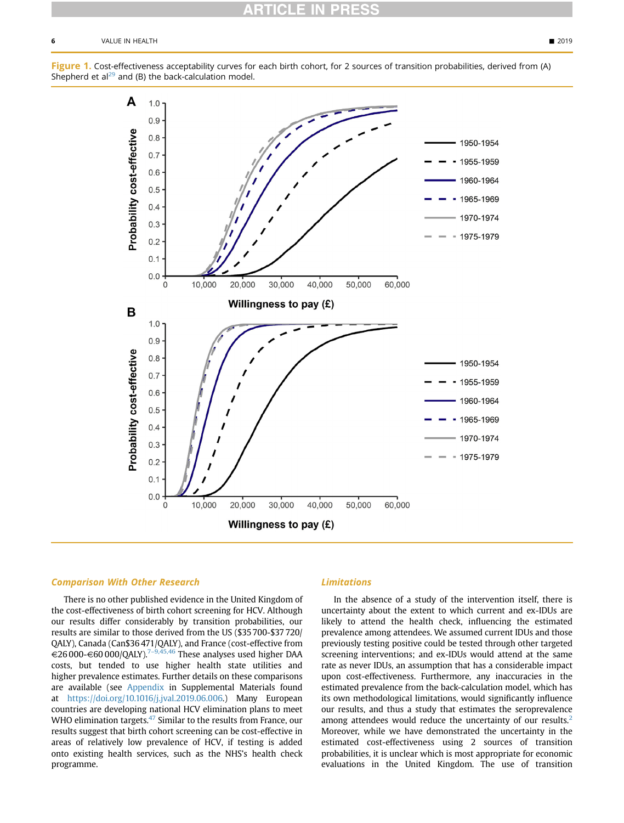<span id="page-5-0"></span>



#### Comparison With Other Research

There is no other published evidence in the United Kingdom of the cost-effectiveness of birth cohort screening for HCV. Although our results differ considerably by transition probabilities, our results are similar to those derived from the US (\$35 700-\$37 720/ QALY), Canada (Can\$36 471/QALY), and France (cost-effective from  $\epsilon$ 26 000- $\epsilon$ 60 000/QALY).<sup>7–[9,45,46](#page-7-0)</sup> These analyses used higher DAA costs, but tended to use higher health state utilities and higher prevalence estimates. Further details on these comparisons are available (see Appendix in Supplemental Materials found at [https://doi.org/10.1016/j.jval.2019.06.006.](https://doi.org/10.1016/j.jval.2019.06.006)) Many European countries are developing national HCV elimination plans to meet WHO elimination targets. $47$  Similar to the results from France, our results suggest that birth cohort screening can be cost-effective in areas of relatively low prevalence of HCV, if testing is added onto existing health services, such as the NHS's health check programme.

## Limitations

In the absence of a study of the intervention itself, there is uncertainty about the extent to which current and ex-IDUs are likely to attend the health check, influencing the estimated prevalence among attendees. We assumed current IDUs and those previously testing positive could be tested through other targeted screening interventions; and ex-IDUs would attend at the same rate as never IDUs, an assumption that has a considerable impact upon cost-effectiveness. Furthermore, any inaccuracies in the estimated prevalence from the back-calculation model, which has its own methodological limitations, would significantly influence our results, and thus a study that estimates the seroprevalence among attendees would reduce the uncertainty of our results.<sup>[2](#page-7-0)</sup> Moreover, while we have demonstrated the uncertainty in the estimated cost-effectiveness using 2 sources of transition probabilities, it is unclear which is most appropriate for economic evaluations in the United Kingdom. The use of transition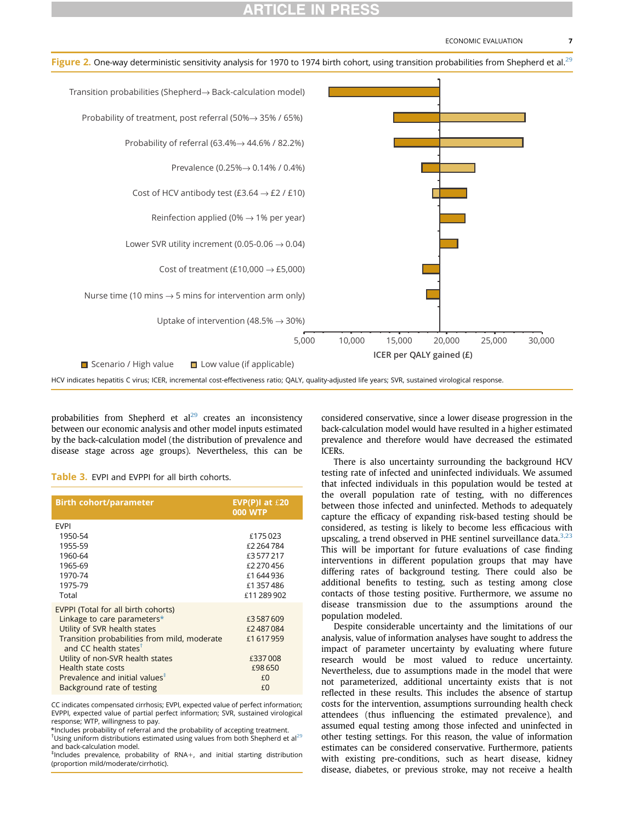<span id="page-6-0"></span>

HCV indicates hepatitis C virus; ICER, incremental cost-effectiveness ratio; QALY, quality-adjusted life years; SVR, sustained virological response.

probabilities from Shepherd et  $al^{29}$  creates an inconsistency between our economic analysis and other model inputs estimated by the back-calculation model (the distribution of prevalence and disease stage across age groups). Nevertheless, this can be

Table 3. EVPI and EVPPI for all birth cohorts.

| <b>Birth cohort/parameter</b>                                                                                                                                                                                                                                                                                                              | EVP(P)I at $£20$<br><b>000 WTP</b>                                                          |
|--------------------------------------------------------------------------------------------------------------------------------------------------------------------------------------------------------------------------------------------------------------------------------------------------------------------------------------------|---------------------------------------------------------------------------------------------|
| <b>EVPI</b><br>1950-54<br>1955-59<br>1960-64<br>1965-69<br>1970-74<br>1975-79<br>Total                                                                                                                                                                                                                                                     | £175023<br>f 2 2 6 4 7 8 4<br>£3577217<br>£2 270 456<br>£1644936<br>£1357486<br>£11 289 902 |
| EVPPI (Total for all birth cohorts)<br>Linkage to care parameters*<br>Utility of SVR health states<br>Transition probabilities from mild, moderate<br>and CC health states <sup>†</sup><br>Utility of non-SVR health states<br>Health state costs<br>Prevalence and initial values <sup><math>#</math></sup><br>Background rate of testing | £3587609<br>£2487084<br>£1617959<br>£337008<br>£98650<br>£O<br>£O                           |

CC indicates compensated cirrhosis; EVPI, expected value of perfect information; EVPPI, expected value of partial perfect information; SVR, sustained virological response; WTP, willingness to pay.

\*Includes probability of referral and the probability of accepting treatment.

<sup>†</sup>Using uniform distributions estimated using values from both Shepherd et al<sup>[29](#page-7-0)</sup> and back-calculation model.

 $^{\ddagger}$ Includes prevalence, probability of RNA+, and initial starting distribution (proportion mild/moderate/cirrhotic).

considered conservative, since a lower disease progression in the back-calculation model would have resulted in a higher estimated prevalence and therefore would have decreased the estimated ICERs.

There is also uncertainty surrounding the background HCV testing rate of infected and uninfected individuals. We assumed that infected individuals in this population would be tested at the overall population rate of testing, with no differences between those infected and uninfected. Methods to adequately capture the efficacy of expanding risk-based testing should be considered, as testing is likely to become less efficacious with upscaling, a trend observed in PHE sentinel surveillance data. $3,23$ This will be important for future evaluations of case finding interventions in different population groups that may have differing rates of background testing. There could also be additional benefits to testing, such as testing among close contacts of those testing positive. Furthermore, we assume no disease transmission due to the assumptions around the population modeled.

Despite considerable uncertainty and the limitations of our analysis, value of information analyses have sought to address the impact of parameter uncertainty by evaluating where future research would be most valued to reduce uncertainty. Nevertheless, due to assumptions made in the model that were not parameterized, additional uncertainty exists that is not reflected in these results. This includes the absence of startup costs for the intervention, assumptions surrounding health check attendees (thus influencing the estimated prevalence), and assumed equal testing among those infected and uninfected in other testing settings. For this reason, the value of information estimates can be considered conservative. Furthermore, patients with existing pre-conditions, such as heart disease, kidney disease, diabetes, or previous stroke, may not receive a health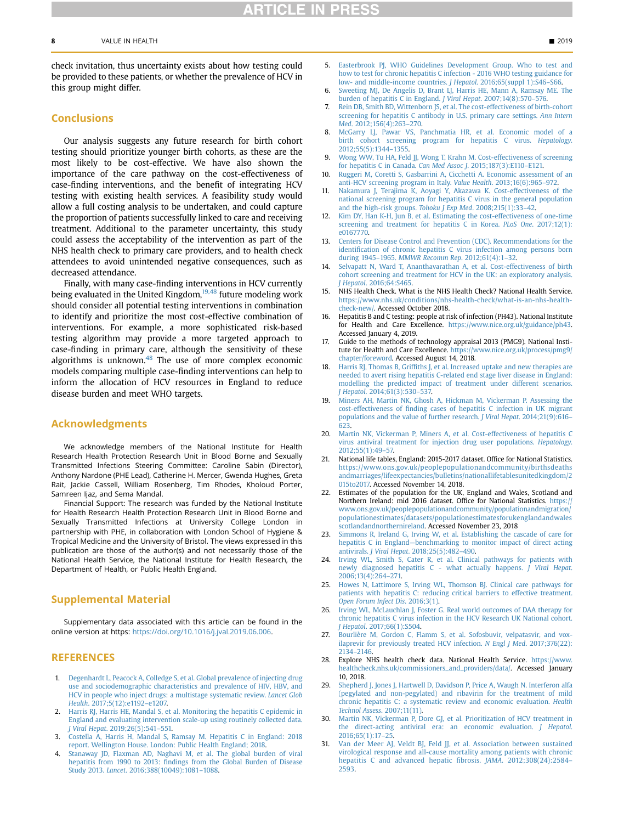<span id="page-7-0"></span>check invitation, thus uncertainty exists about how testing could be provided to these patients, or whether the prevalence of HCV in this group might differ.

### **Conclusions**

Our analysis suggests any future research for birth cohort testing should prioritize younger birth cohorts, as these are the most likely to be cost-effective. We have also shown the importance of the care pathway on the cost-effectiveness of case-finding interventions, and the benefit of integrating HCV testing with existing health services. A feasibility study would allow a full costing analysis to be undertaken, and could capture the proportion of patients successfully linked to care and receiving treatment. Additional to the parameter uncertainty, this study could assess the acceptability of the intervention as part of the NHS health check to primary care providers, and to health check attendees to avoid unintended negative consequences, such as decreased attendance.

Finally, with many case-finding interventions in HCV currently being evaluated in the United Kingdom,<sup>19,48</sup> future modeling work should consider all potential testing interventions in combination to identify and prioritize the most cost-effective combination of interventions. For example, a more sophisticated risk-based testing algorithm may provide a more targeted approach to case-finding in primary care, although the sensitivity of these algorithms is unknown.<sup>[48](#page-8-0)</sup> The use of more complex economic models comparing multiple case-finding interventions can help to inform the allocation of HCV resources in England to reduce disease burden and meet WHO targets.

#### Acknowledgments

We acknowledge members of the National Institute for Health Research Health Protection Research Unit in Blood Borne and Sexually Transmitted Infections Steering Committee: Caroline Sabin (Director), Anthony Nardone (PHE Lead), Catherine H. Mercer, Gwenda Hughes, Greta Rait, Jackie Cassell, William Rosenberg, Tim Rhodes, Kholoud Porter, Samreen Ijaz, and Sema Mandal.

Financial Support: The research was funded by the National Institute for Health Research Health Protection Research Unit in Blood Borne and Sexually Transmitted Infections at University College London in partnership with PHE, in collaboration with London School of Hygiene & Tropical Medicine and the University of Bristol. The views expressed in this publication are those of the author(s) and not necessarily those of the National Health Service, the National Institute for Health Research, the Department of Health, or Public Health England.

# Supplemental Material

Supplementary data associated with this article can be found in the online version at https: <https://doi.org/10.1016/j.jval.2019.06.006>.

# **REFERENCES**

- 1. [Degenhardt L, Peacock A, Colledge S, et al. Global prevalence of injecting drug](http://refhub.elsevier.com/S1098-3015(19)32255-7/sref1) [use and sociodemographic characteristics and prevalence of HIV, HBV, and](http://refhub.elsevier.com/S1098-3015(19)32255-7/sref1) [HCV in people who inject drugs: a multistage systematic review.](http://refhub.elsevier.com/S1098-3015(19)32255-7/sref1) Lancet Glob Health[. 2017;5\(12\):e1192](http://refhub.elsevier.com/S1098-3015(19)32255-7/sref1)–e1207.
- 2. [Harris RJ, Harris HE, Mandal S, et al. Monitoring the hepatitis C epidemic in](http://refhub.elsevier.com/S1098-3015(19)32255-7/sref2) [England and evaluating intervention scale-up using routinely collected data.](http://refhub.elsevier.com/S1098-3015(19)32255-7/sref2) J Viral Hepat[. 2019;26\(5\):541](http://refhub.elsevier.com/S1098-3015(19)32255-7/sref2)–551.
- 3. [Costella A, Harris H, Mandal S, Ramsay M. Hepatitis C in England: 2018](http://refhub.elsevier.com/S1098-3015(19)32255-7/sref3) [report. Wellington House. London: Public Health England; 2018](http://refhub.elsevier.com/S1098-3015(19)32255-7/sref3).
- 4. [Stanaway JD, Flaxman AD, Naghavi M, et al. The global burden of viral](http://refhub.elsevier.com/S1098-3015(19)32255-7/sref4) hepatitis from 1990 to 2013: fi[ndings from the Global Burden of Disease](http://refhub.elsevier.com/S1098-3015(19)32255-7/sref4) Study 2013. Lancet[. 2016;388\(10049\):1081](http://refhub.elsevier.com/S1098-3015(19)32255-7/sref4)–1088.
- [Easterbrook PJ, WHO Guidelines Development Group. Who to test and](http://refhub.elsevier.com/S1098-3015(19)32255-7/sref5) [how to test for chronic hepatitis C infection - 2016 WHO testing guidance for](http://refhub.elsevier.com/S1098-3015(19)32255-7/sref5) [low- and middle-income countries.](http://refhub.elsevier.com/S1098-3015(19)32255-7/sref5) J Hepatol. 2016;65(suppl 1):S46–S66.
- 6. [Sweeting MJ, De Angelis D, Brant LJ, Harris HE, Mann A, Ramsay ME. The](http://refhub.elsevier.com/S1098-3015(19)32255-7/sref7) [burden of hepatitis C in England.](http://refhub.elsevier.com/S1098-3015(19)32255-7/sref7) J Viral Hepat. 2007;14(8):570–576.
- 7. [Rein DB, Smith BD, Wittenborn JS, et al. The cost-effectiveness of birth-cohort](http://refhub.elsevier.com/S1098-3015(19)32255-7/sref8) [screening for hepatitis C antibody in U.S. primary care settings.](http://refhub.elsevier.com/S1098-3015(19)32255-7/sref8) Ann Intern Med[. 2012;156\(4\):263](http://refhub.elsevier.com/S1098-3015(19)32255-7/sref8)–270.
- 8. [McGarry LJ, Pawar VS, Panchmatia HR, et al. Economic model of a](http://refhub.elsevier.com/S1098-3015(19)32255-7/sref9) [birth cohort screening program for hepatitis C virus.](http://refhub.elsevier.com/S1098-3015(19)32255-7/sref9) Hepatology. [2012;55\(5\):1344](http://refhub.elsevier.com/S1098-3015(19)32255-7/sref9)–1355.
- 9. [Wong WW, Tu HA, Feld JJ, Wong T, Krahn M. Cost-effectiveness of screening](http://refhub.elsevier.com/S1098-3015(19)32255-7/sref10) [for hepatitis C in Canada.](http://refhub.elsevier.com/S1098-3015(19)32255-7/sref10) Can Med Assoc J. 2015;187(3):E110–E121.
- 10. [Ruggeri M, Coretti S, Gasbarrini A, Cicchetti A. Economic assessment of an](http://refhub.elsevier.com/S1098-3015(19)32255-7/sref11) [anti-HCV screening program in Italy.](http://refhub.elsevier.com/S1098-3015(19)32255-7/sref11) Value Health. 2013;16(6):965–972.
- 11. [Nakamura J, Terajima K, Aoyagi Y, Akazawa K. Cost-effectiveness of the](http://refhub.elsevier.com/S1098-3015(19)32255-7/sref12) [national screening program for hepatitis C virus in the general population](http://refhub.elsevier.com/S1098-3015(19)32255-7/sref12) [and the high-risk groups.](http://refhub.elsevier.com/S1098-3015(19)32255-7/sref12) Tohoku J Exp Med. 2008;215(1):33–42.
- 12. [Kim DY, Han K-H, Jun B, et al. Estimating the cost-effectiveness of one-time](http://refhub.elsevier.com/S1098-3015(19)32255-7/sref13) [screening and treatment for hepatitis C in Korea.](http://refhub.elsevier.com/S1098-3015(19)32255-7/sref13) PLoS One. 2017;12(1): [e0167770](http://refhub.elsevier.com/S1098-3015(19)32255-7/sref13).
- 13. [Centers for Disease Control and Prevention \(CDC\). Recommendations for the](http://refhub.elsevier.com/S1098-3015(19)32255-7/sref14) identifi[cation of chronic hepatitis C virus infection among persons born](http://refhub.elsevier.com/S1098-3015(19)32255-7/sref14) during 1945–1965. [MMWR Recomm Rep](http://refhub.elsevier.com/S1098-3015(19)32255-7/sref14). 2012;61(4):1–32.
- 14. [Selvapatt N, Ward T, Ananthavarathan A, et al. Cost-effectiveness of birth](http://refhub.elsevier.com/S1098-3015(19)32255-7/sref15) [cohort screening and treatment for HCV in the UK: an exploratory analysis.](http://refhub.elsevier.com/S1098-3015(19)32255-7/sref15) J Hepatol[. 2016;64:S465.](http://refhub.elsevier.com/S1098-3015(19)32255-7/sref15)
- 15. NHS Health Check. What is the NHS Health Check? National Health Service. [https://www.nhs.uk/conditions/nhs-health-check/what-is-an-nhs-health](https://www.nhs.uk/conditions/nhs-health-check/what-is-an-nhs-health-check-new/)[check-new/.](https://www.nhs.uk/conditions/nhs-health-check/what-is-an-nhs-health-check-new/) Accessed October 2018.
- 16. Hepatitis B and C testing: people at risk of infection (PH43). National Institute for Health and Care Excellence. [https://www.nice.org.uk/guidance/ph43.](https://www.nice.org.uk/guidance/ph43) Accessed January 4, 2019.
- 17. Guide to the methods of technology appraisal 2013 (PMG9). National Institute for Health and Care Excellence. [https://www.nice.org.uk/process/pmg9/](https://www.nice.org.uk/process/pmg9/chapter/foreword) [chapter/foreword](https://www.nice.org.uk/process/pmg9/chapter/foreword). Accessed August 14, 2018.
- Harris RJ, Thomas B, Griffi[ths J, et al. Increased uptake and new therapies are](http://refhub.elsevier.com/S1098-3015(19)32255-7/sref19) [needed to avert rising hepatitis C-related end stage liver disease in England:](http://refhub.elsevier.com/S1098-3015(19)32255-7/sref19) [modelling the predicted impact of treatment under different scenarios.](http://refhub.elsevier.com/S1098-3015(19)32255-7/sref19) J Hepatol[. 2014;61\(3\):530](http://refhub.elsevier.com/S1098-3015(19)32255-7/sref19)–537.
- [Miners AH, Martin NK, Ghosh A, Hickman M, Vickerman P. Assessing the](http://refhub.elsevier.com/S1098-3015(19)32255-7/sref20) cost-effectiveness of fi[nding cases of hepatitis C infection in UK migrant](http://refhub.elsevier.com/S1098-3015(19)32255-7/sref20) [populations and the value of further research.](http://refhub.elsevier.com/S1098-3015(19)32255-7/sref20) J Viral Hepat. 2014;21(9):616– [623](http://refhub.elsevier.com/S1098-3015(19)32255-7/sref20).
- 20. [Martin NK, Vickerman P, Miners A, et al. Cost-effectiveness of hepatitis C](http://refhub.elsevier.com/S1098-3015(19)32255-7/sref21) [virus antiviral treatment for injection drug user populations.](http://refhub.elsevier.com/S1098-3015(19)32255-7/sref21) Hepatology. [2012;55\(1\):49](http://refhub.elsevier.com/S1098-3015(19)32255-7/sref21)–57.
- 21. National life tables, England: 2015-2017 dataset. Office for National Statistics. [https://www.ons.gov.uk/peoplepopulationandcommunity/birthsdeaths](https://www.ons.gov.uk/peoplepopulationandcommunity/birthsdeathsandmarriages/lifeexpectancies/bulletins/nationallifetablesunitedkingdom/2015to2017) [andmarriages/lifeexpectancies/bulletins/nationallifetablesunitedkingdom/2](https://www.ons.gov.uk/peoplepopulationandcommunity/birthsdeathsandmarriages/lifeexpectancies/bulletins/nationallifetablesunitedkingdom/2015to2017) [015to2017.](https://www.ons.gov.uk/peoplepopulationandcommunity/birthsdeathsandmarriages/lifeexpectancies/bulletins/nationallifetablesunitedkingdom/2015to2017) Accessed November 14, 2018.
- 22. Estimates of the population for the UK, England and Wales, Scotland and Northern Ireland: mid 2016 dataset. Office for National Statistics. [https://](https://www.ons.gov.uk/peoplepopulationandcommunity/populationandmigration/populationestimates/datasets/populationestimatesforukenglandandwalesscotlandandnorthernireland) [www.ons.gov.uk/peoplepopulationandcommunity/populationandmigration/](https://www.ons.gov.uk/peoplepopulationandcommunity/populationandmigration/populationestimates/datasets/populationestimatesforukenglandandwalesscotlandandnorthernireland) [populationestimates/datasets/populationestimatesforukenglandandwales](https://www.ons.gov.uk/peoplepopulationandcommunity/populationandmigration/populationestimates/datasets/populationestimatesforukenglandandwalesscotlandandnorthernireland) [scotlandandnorthernireland](https://www.ons.gov.uk/peoplepopulationandcommunity/populationandmigration/populationestimates/datasets/populationestimatesforukenglandandwalesscotlandandnorthernireland). Accessed November 23, 2018
- 23. [Simmons R, Ireland G, Irving W, et al. Establishing the cascade of care for](http://refhub.elsevier.com/S1098-3015(19)32255-7/sref24) hepatitis C in England—[benchmarking to monitor impact of direct acting](http://refhub.elsevier.com/S1098-3015(19)32255-7/sref24) antivirals. J Viral Hepat[. 2018;25\(5\):482](http://refhub.elsevier.com/S1098-3015(19)32255-7/sref24)–490.
- 24. [Irving WL, Smith S, Cater R, et al. Clinical pathways for patients with](http://refhub.elsevier.com/S1098-3015(19)32255-7/sref25) [newly diagnosed hepatitis C - what actually happens.](http://refhub.elsevier.com/S1098-3015(19)32255-7/sref25) J Viral Hepat. [2006;13\(4\):264](http://refhub.elsevier.com/S1098-3015(19)32255-7/sref25)–271.
- 25. [Howes N, Lattimore S, Irving WL, Thomson BJ. Clinical care pathways for](http://refhub.elsevier.com/S1098-3015(19)32255-7/sref26) [patients with hepatitis C: reducing critical barriers to effective treatment.](http://refhub.elsevier.com/S1098-3015(19)32255-7/sref26) [Open Forum Infect Dis](http://refhub.elsevier.com/S1098-3015(19)32255-7/sref26). 2016;3(1).
- 26. [Irving WL, McLauchlan J, Foster G. Real world outcomes of DAA therapy for](http://refhub.elsevier.com/S1098-3015(19)32255-7/sref27) [chronic hepatitis C virus infection in the HCV Research UK National cohort.](http://refhub.elsevier.com/S1098-3015(19)32255-7/sref27) J Hepatol[. 2017;66\(1\):S504.](http://refhub.elsevier.com/S1098-3015(19)32255-7/sref27)
- 27. [Bourlière M, Gordon C, Flamm S, et al. Sofosbuvir, velpatasvir, and vox](http://refhub.elsevier.com/S1098-3015(19)32255-7/sref28)[ilaprevir for previously treated HCV infection.](http://refhub.elsevier.com/S1098-3015(19)32255-7/sref28) N Engl J Med. 2017;376(22): 2134–[2146.](http://refhub.elsevier.com/S1098-3015(19)32255-7/sref28)
- 28. Explore NHS health check data. National Health Service. [https://www.](https://www.healthcheck.nhs.uk/commissioners_and_providers/data/) [healthcheck.nhs.uk/commissioners\\_and\\_providers/data/](https://www.healthcheck.nhs.uk/commissioners_and_providers/data/). Accessed January 10, 2018.
- 29. [Shepherd J, Jones J, Hartwell D, Davidson P, Price A, Waugh N. Interferon alfa](http://refhub.elsevier.com/S1098-3015(19)32255-7/sref30) [\(pegylated and non-pegylated\) and ribavirin for the treatment of mild](http://refhub.elsevier.com/S1098-3015(19)32255-7/sref30) [chronic hepatitis C: a systematic review and economic evaluation.](http://refhub.elsevier.com/S1098-3015(19)32255-7/sref30) Health [Technol Assess](http://refhub.elsevier.com/S1098-3015(19)32255-7/sref30). 2007;11(11).
- 30. [Martin NK, Vickerman P, Dore GJ, et al. Prioritization of HCV treatment in](http://refhub.elsevier.com/S1098-3015(19)32255-7/sref31) [the direct-acting antiviral era: an economic evaluation.](http://refhub.elsevier.com/S1098-3015(19)32255-7/sref31) J Hepatol. [2016;65\(1\):17](http://refhub.elsevier.com/S1098-3015(19)32255-7/sref31)–25.
- 31. [Van der Meer AJ, Veldt BJ, Feld JJ, et al. Association between sustained](http://refhub.elsevier.com/S1098-3015(19)32255-7/sref32) [virological response and all-cause mortality among patients with chronic](http://refhub.elsevier.com/S1098-3015(19)32255-7/sref32) [hepatitis C and advanced hepatic](http://refhub.elsevier.com/S1098-3015(19)32255-7/sref32) fibrosis. JAMA. 2012;308(24):2584– [2593](http://refhub.elsevier.com/S1098-3015(19)32255-7/sref32).